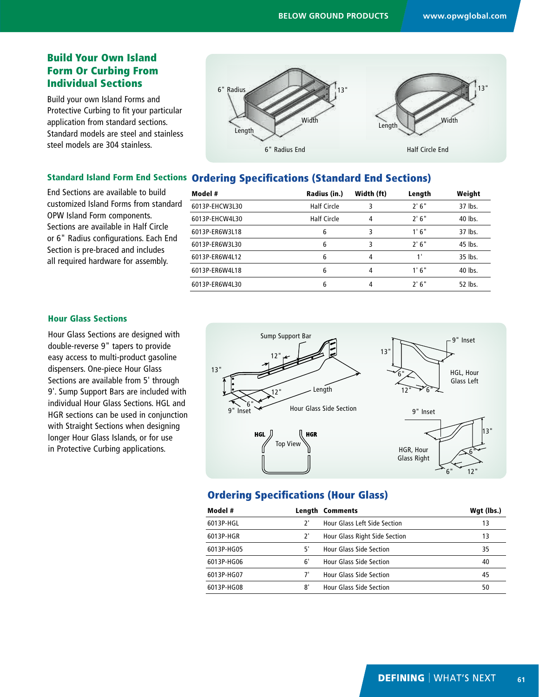# Build Your Own Island Form Or Curbing From Individual Sections

Build your own Island Forms and Protective Curbing to fit your particular application from standard sections. Standard models are steel and stainless steel models are 304 stainless.



# Standard Island Form End Sections Ordering Specifications (Standard End Sections)

End Sections are available to build customized Island Forms from standard OPW Island Form components. Sections are available in Half Circle or 6" Radius configurations. Each End Section is pre-braced and includes all required hardware for assembly.

| Model #        | Radius (in.)       | Width (ft) | Length | Weight  |
|----------------|--------------------|------------|--------|---------|
| 6013P-EHCW3L30 | <b>Half Circle</b> | 3          | 2'6''  | 37 lbs. |
| 6013P-EHCW4L30 | <b>Half Circle</b> | 4          | 2'6''  | 40 lbs. |
| 6013P-ER6W3L18 | 6                  | 3          | 1'6"   | 37 lbs. |
| 6013P-ER6W3L30 | 6                  | 3          | 2'6''  | 45 lbs. |
| 6013P-ER6W4L12 | 6                  | 4          | 1'     | 35 lbs. |
| 6013P-ER6W4L18 | 6                  | 4          | 1'6"   | 40 lbs. |
| 6013P-ER6W4L30 | 6                  | 4          | 2'6''  | 52 lbs. |
|                |                    |            |        |         |

#### Hour Glass Sections

Hour Glass Sections are designed with double-reverse 9" tapers to provide easy access to multi-product gasoline dispensers. One-piece Hour Glass Sections are available from 5' through 9'. Sump Support Bars are included with individual Hour Glass Sections. HGL and HGR sections can be used in conjunction with Straight Sections when designing longer Hour Glass Islands, or for use in Protective Curbing applications.



# Ordering Specifications (Hour Glass)

| Model #    |    | <b>Length Comments</b>              | Wgt (lbs.) |
|------------|----|-------------------------------------|------------|
| 6013P-HGL  | 7' | <b>Hour Glass Left Side Section</b> | 13         |
| 6013P-HGR  | 7' | Hour Glass Right Side Section       | 13         |
| 6013P-HG05 | 5' | <b>Hour Glass Side Section</b>      | 35         |
| 6013P-HG06 | 6' | <b>Hour Glass Side Section</b>      | 40         |
| 6013P-HG07 |    | <b>Hour Glass Side Section</b>      | 45         |
| 6013P-HG08 | 8' | <b>Hour Glass Side Section</b>      | 50         |